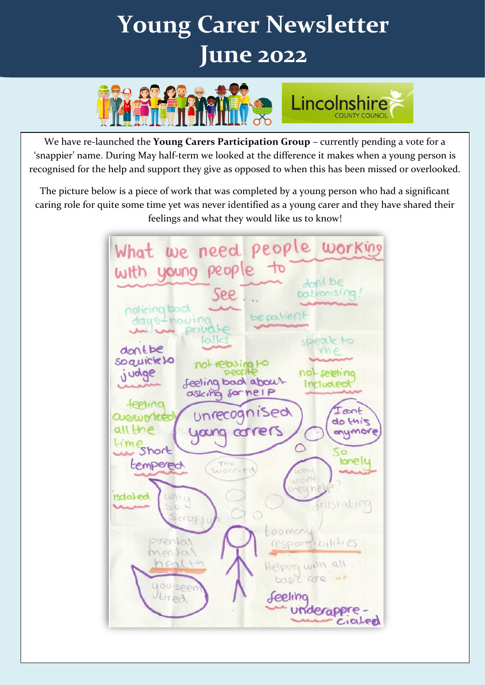# $\ddot{\phantom{a}}$ **Young Carer Newsletter June 2022**



We have re-launched the **Young Carers Participation Group** – currently pending a vote for a 'snappier' name. During May half-term we looked at the difference it makes when a young person is recognised for the help and support they give as opposed to when this has been missed or overlooked.

The picture below is a piece of work that was completed by a young person who had a significant caring role for quite some time yet was never identified as a young carer and they have shared their feelings and what they would like us to know!

we need people working What with young people to dont be See palvanising noticing back bepatient daysthouing private lalle akto donthe soquick to not rebuing to judge feeling bad about include asking some IP feeling Unrecognised Icent *QUORWATE* do this all the yang corrers anymor  $-1$  M  $\epsilon$ ○ Short lonellu tempered worried who Why **Isdaled** frusrating orufs boomany prental responsibilities menta! Helping with all nealth basic core = you seer Seeling ltired underappre.  $C_1$ alen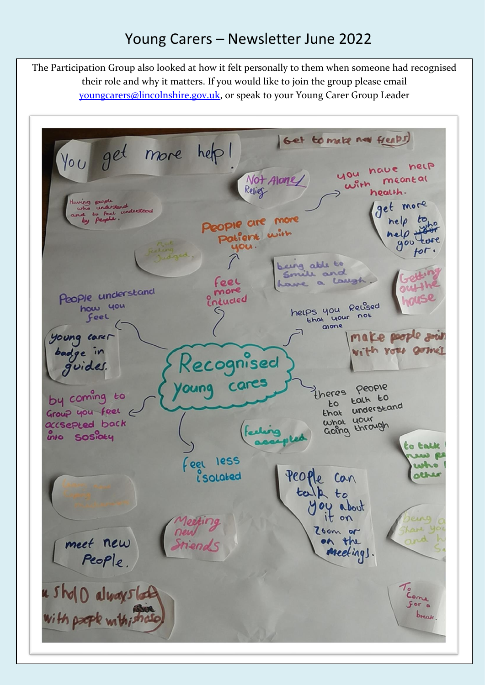## Young Carers – Newsletter June 2022

The Participation Group also looked at how it felt personally to them when someone had recognised their role and why it matters. If you would like to join the group please email [youngcarers@lincolnshire.gov.uk,](mailto:youngcarers@lincolnshire.gov.uk) or speak to your Young Carer Group Leader

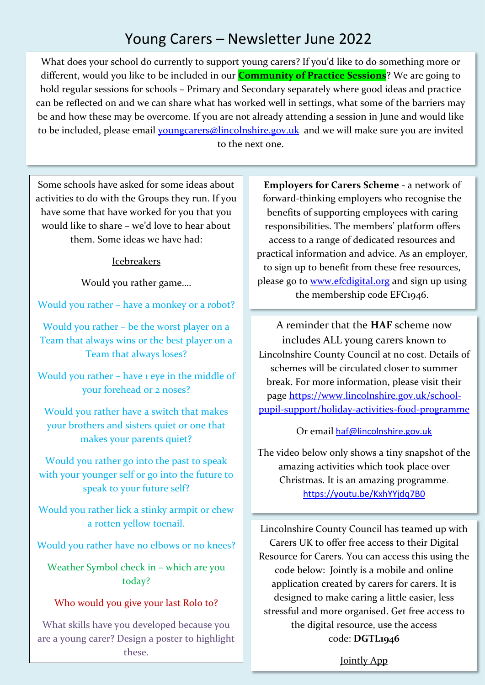## Young Carers – Newsletter June 2022

What does your school do currently to support young carers? If you'd like to do something more or different, would you like to be included in our **Community of Practice Sessions**? We are going to hold regular sessions for schools – Primary and Secondary separately where good ideas and practice can be reflected on and we can share what has worked well in settings, what some of the barriers may be and how these may be overcome. If you are not already attending a session in June and would like to be included, please email [youngcarers@lincolnshire.gov.uk](mailto:youngcarers@lincolnshire.gov.uk) and we will make sure you are invited to the next one.

Some schools have asked for some ideas about activities to do with the Groups they run. If you have some that have worked for you that you would like to share – we'd love to hear about them. Some ideas we have had:

#### Icebreakers

Would you rather game….

Would you rather – have a monkey or a robot?

Would you rather – be the worst player on a Team that always wins or the best player on a Team that always loses?

Would you rather – have 1 eye in the middle of your forehead or 2 noses?

Would you rather have a switch that makes your brothers and sisters quiet or one that makes your parents quiet?

Would you rather go into the past to speak with your younger self or go into the future to speak to your future self?

Would you rather lick a stinky armpit or chew a rotten yellow toenail.

Would you rather have no elbows or no knees?

Weather Symbol check in – which are you today?

#### Who would you give your last Rolo to?

What skills have you developed because you are a young carer? Design a poster to highlight these.

**Employers for Carers Scheme** - a network of forward-thinking employers who recognise the benefits of supporting employees with caring responsibilities. The members' platform offers access to a range of dedicated resources and practical information and advice. As an employer, to sign up to benefit from these free resources, please go to [www.efcdigital.org](http://www.efcdigital.org/) and sign up using the membership code EFC1946.

A reminder that the **HAF** scheme now includes ALL young carers known to Lincolnshire County Council at no cost. Details of schemes will be circulated closer to summer break. For more information, please visit their page [https://www.lincolnshire.gov.uk/school](https://www.lincolnshire.gov.uk/school-pupil-support/holiday-activities-food-programme)[pupil-support/holiday-activities-food-programme](https://www.lincolnshire.gov.uk/school-pupil-support/holiday-activities-food-programme)

#### Or email [haf@lincolnshire.gov.uk](mailto:haf@lincolnshire.gov.uk)

The video below only shows a tiny snapshot of the amazing activities which took place over Christmas. It is an amazing programme. <https://youtu.be/KxhYYjdq7B0>

Lincolnshire County Council has teamed up with Carers UK to offer free access to their Digital Resource for Carers. You can access this using the code below: Jointly is a mobile and online application created by carers for carers. It is designed to make caring a little easier, less stressful and more organised. Get free access to the digital resource, use the access code: **DGTL1946**

[Jointly App](https://gbr01.safelinks.protection.outlook.com/?url=https%3A%2F%2Fjointlyapp.com%2F&data=05%7C01%7CHannah.Sherman%40lincolnshire.gov.uk%7Cfb3a34533bcc47d1026508da47d33372%7Cb4e05b92f8ce46b59b2499ba5c11e5e9%7C0%7C0%7C637901269670564128%7CUnknown%7CTWFpbGZsb3d8eyJWIjoiMC4wLjAwMDAiLCJQIjoiV2luMzIiLCJBTiI6Ik1haWwiLCJXVCI6Mn0%3D%7C3000%7C%7C%7C&sdata=wSC72wCw%2FwIwYdt%2Fo%2FJlVki3V%2BXDJs6LakzRpUcTERA%3D&reserved=0)